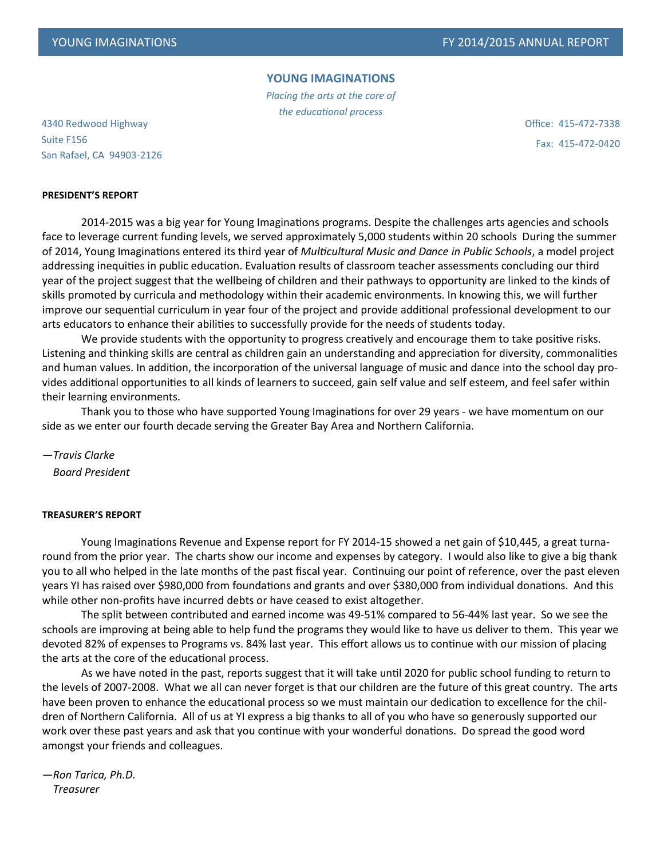## **YOUNG IMAGINATIONS**

*Placing the arts at the core of the educational process*

4340 Redwood Highway Suite F156 San Rafael, CA 94903-2126 Office: 415-472-7338 Fax: 415-472-0420

## **PRESIDENT'S REPORT**

2014-2015 was a big year for Young Imaginations programs. Despite the challenges arts agencies and schools face to leverage current funding levels, we served approximately 5,000 students within 20 schools During the summer of 2014, Young Imaginations entered its third year of *Multicultural Music and Dance in Public Schools*, a model project addressing inequities in public education. Evaluation results of classroom teacher assessments concluding our third year of the project suggest that the wellbeing of children and their pathways to opportunity are linked to the kinds of skills promoted by curricula and methodology within their academic environments. In knowing this, we will further improve our sequential curriculum in year four of the project and provide additional professional development to our arts educators to enhance their abilities to successfully provide for the needs of students today.

We provide students with the opportunity to progress creatively and encourage them to take positive risks. Listening and thinking skills are central as children gain an understanding and appreciation for diversity, commonalities and human values. In addition, the incorporation of the universal language of music and dance into the school day provides additional opportunities to all kinds of learners to succeed, gain self value and self esteem, and feel safer within their learning environments.

Thank you to those who have supported Young Imaginations for over 29 years - we have momentum on our side as we enter our fourth decade serving the Greater Bay Area and Northern California.

*—Travis Clarke Board President*

#### **TREASURER'S REPORT**

Young Imaginations Revenue and Expense report for FY 2014-15 showed a net gain of \$10,445, a great turnaround from the prior year. The charts show our income and expenses by category. I would also like to give a big thank you to all who helped in the late months of the past fiscal year. Continuing our point of reference, over the past eleven years YI has raised over \$980,000 from foundations and grants and over \$380,000 from individual donations. And this while other non-profits have incurred debts or have ceased to exist altogether.

The split between contributed and earned income was 49-51% compared to 56-44% last year. So we see the schools are improving at being able to help fund the programs they would like to have us deliver to them. This year we devoted 82% of expenses to Programs vs. 84% last year. This effort allows us to continue with our mission of placing the arts at the core of the educational process.

As we have noted in the past, reports suggest that it will take until 2020 for public school funding to return to the levels of 2007-2008. What we all can never forget is that our children are the future of this great country. The arts have been proven to enhance the educational process so we must maintain our dedication to excellence for the children of Northern California. All of us at YI express a big thanks to all of you who have so generously supported our work over these past years and ask that you continue with your wonderful donations. Do spread the good word amongst your friends and colleagues.

*—Ron Tarica, Ph.D. Treasurer*